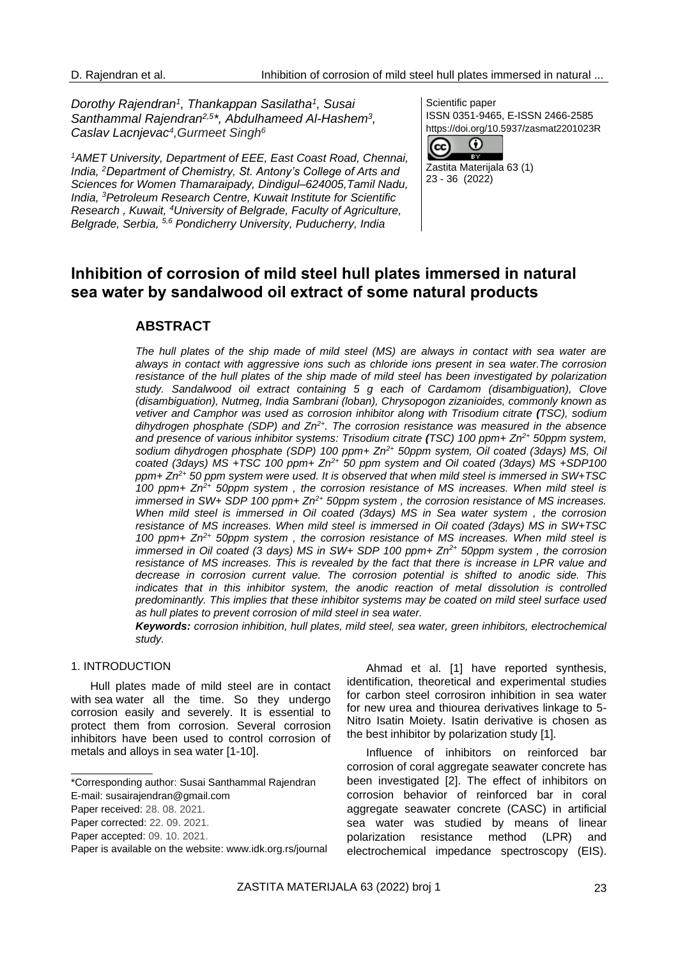*Dorothy Rajendran<sup>1</sup> , Thankappan Sasilatha<sup>1</sup> , Susai Santhammal Rajendran2,5 \*, Abdulhameed Al-Hashem<sup>3</sup> , Caslav Lacnjevac<sup>4</sup> ,Gurmeet Singh<sup>6</sup>*

*<sup>1</sup>AMET University, Department of EEE, East Coast Road, Chennai, India, <sup>2</sup>Department of Chemistry, St. Antony's College of Arts and Sciences for Women Thamaraipady, Dindigul–624005,Tamil Nadu, India, <sup>3</sup>Petroleum Research Centre, Kuwait Institute for Scientific Research , Kuwait, <sup>4</sup>University of Belgrade, Faculty of Agriculture, Belgrade, Serbia, 5,6 Pondicherry University, Puducherry, India*

Scientific paper ISSN 0351-9465, E-ISSN 2466-2585 https://doi.org/10.5937/zasmat2201023R



23 - 36 (2022)

# **Inhibition of corrosion of mild steel hull plates immersed in natural sea water by sandalwood oil extract of some natural products**

# **ABSTRACT**

*The hull plates of the ship made of mild steel (MS) are always in contact with sea water are always in contact with aggressive ions such as chloride ions present in sea water.The corrosion resistance of the hull plates of the ship made of mild steel has been investigated by polarization study. Sandalwood oil extract containing 5 g each of Cardamom (disambiguation), Clove (disambiguation), Nutmeg, India Sambrani (loban), Chrysopogon zizanioides, commonly known as vetiver and Camphor was used as corrosion inhibitor along with Trisodium citrate (TSC), sodium dihydrogen phosphate (SDP) and Zn2+. The corrosion resistance was measured in the absence and presence of various inhibitor systems: Trisodium citrate (TSC) 100 ppm+ Zn2+ 50ppm system, sodium dihydrogen phosphate (SDP) 100 ppm+ Zn2+ 50ppm system, Oil coated (3days) MS, Oil coated (3days) MS +TSC 100 ppm+ Zn2+ 50 ppm system and Oil coated (3days) MS +SDP100 ppm+ Zn2+ 50 ppm system were used. It is observed that when mild steel is immersed in SW+TSC 100 ppm+ Zn2+ 50ppm system , the corrosion resistance of MS increases. When mild steel is immersed in SW+ SDP 100 ppm+ Zn2+ 50ppm system , the corrosion resistance of MS increases. When mild steel is immersed in Oil coated (3days) MS in Sea water system , the corrosion resistance of MS increases. When mild steel is immersed in Oil coated (3days) MS in SW+TSC 100 ppm+ Zn2+ 50ppm system , the corrosion resistance of MS increases. When mild steel is immersed in Oil coated (3 days) MS in SW+ SDP 100 ppm+ Zn2+ 50ppm system , the corrosion*  resistance of MS increases. This is revealed by the fact that there is increase in LPR value and *decrease in corrosion current value. The corrosion potential is shifted to anodic side. This indicates that in this inhibitor system, the anodic reaction of metal dissolution is controlled predominantly. This implies that these inhibitor systems may be coated on mild steel surface used as hull plates to prevent corrosion of mild steel in sea water.*

*Keywords: corrosion inhibition, hull plates, mild steel, sea water, green inhibitors, electrochemical study.*

### 1. INTRODUCTION

Hull plates made of mild steel are in contact with sea water all the time. So they undergo corrosion easily and severely. It is essential to protect them from corrosion. Several corrosion inhibitors have been used to control corrosion of metals and alloys in sea water [1-10].

Ahmad et al. [1] have reported synthesis, identification, theoretical and experimental studies for carbon steel corrosiron inhibition in sea water for new urea and thiourea derivatives linkage to 5- Nitro Isatin Moiety. Isatin derivative is chosen as the best inhibitor by polarization study [1].

Influence of inhibitors on reinforced bar corrosion of coral aggregate seawater concrete has been investigated [2]. The effect of inhibitors on corrosion behavior of reinforced bar in coral aggregate seawater concrete (CASC) in artificial sea water was studied by means of linear polarization resistance method (LPR) and electrochemical impedance spectroscopy (EIS).

<sup>\*</sup>Corresponding author: Susai Santhammal Rajendran

E-mail: [susairajendran@gmail.com](mailto:susairajendran@gmail.com)

Paper received: 28. 08. 2021.

Paper corrected: 22. 09. 2021.

Paper accepted: 09. 10. 2021.

Paper is available on the website: [www.idk.org.rs/journal](http://www.idk.org.rs/journal)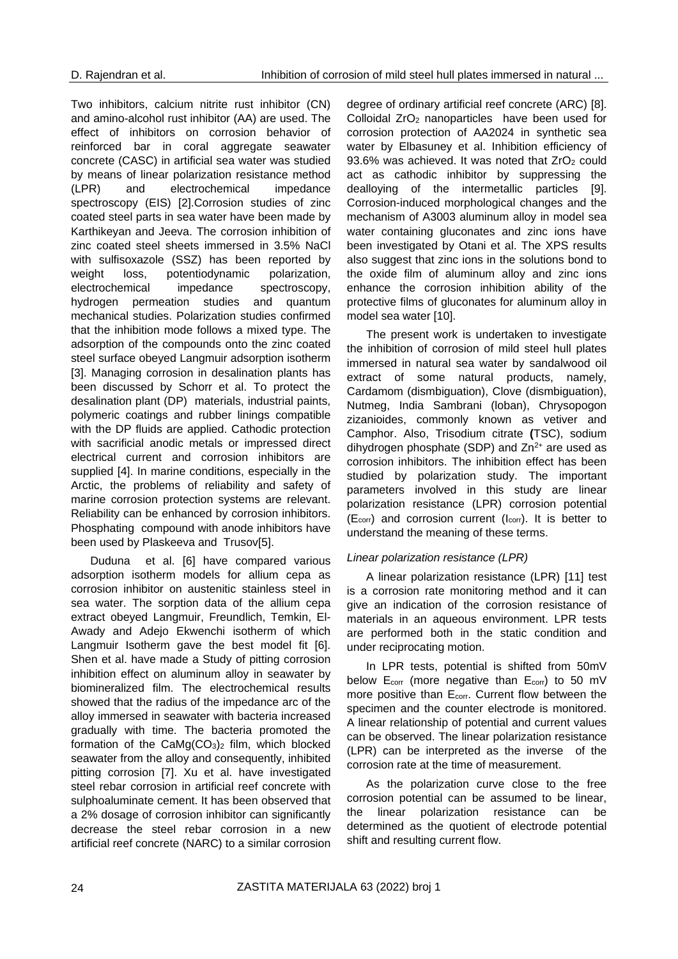Two inhibitors, calcium nitrite rust inhibitor (CN) and amino-alcohol rust inhibitor (AA) are used. The effect of inhibitors on corrosion behavior of reinforced bar in coral aggregate seawater concrete (CASC) in artificial sea water was studied by means of linear polarization resistance method (LPR) and electrochemical impedance spectroscopy (EIS) [2].Corrosion studies of zinc coated steel parts in sea water have been made by Karthikeyan and Jeeva. The corrosion inhibition of zinc coated steel sheets immersed in 3.5% NaCl with sulfisoxazole (SSZ) has been reported by weight loss, potentiodynamic polarization, electrochemical impedance spectroscopy, hydrogen permeation studies and quantum mechanical studies. Polarization studies confirmed that the inhibition mode follows a mixed type. The adsorption of the compounds onto the zinc coated steel surface obeyed Langmuir adsorption isotherm [3]. Managing corrosion in desalination plants has been discussed by Schorr et al. To protect the desalination plant (DP) materials, industrial paints, polymeric coatings and rubber linings compatible with the DP fluids are applied. Cathodic protection with sacrificial anodic metals or impressed direct electrical current and corrosion inhibitors are supplied [4]. In marine conditions, especially in the Arctic, the problems of reliability and safety of marine corrosion protection systems are relevant. Reliability can be enhanced by corrosion inhibitors. Phosphating compound with anode inhibitors have been used by Plaskeeva and Trusov[5].

Duduna et al. [6] have compared various adsorption isotherm models for allium cepa as corrosion inhibitor on austenitic stainless steel in sea water. The sorption data of the allium cepa extract obeyed Langmuir, Freundlich, Temkin, El-Awady and Adejo Ekwenchi isotherm of which Langmuir Isotherm gave the best model fit [6]. Shen et al. have made a Study of pitting corrosion inhibition effect on aluminum alloy in seawater by biomineralized film. The electrochemical results showed that the radius of the impedance arc of the alloy immersed in seawater with bacteria increased gradually with time. The bacteria promoted the formation of the  $CaMa(CO_3)_2$  film, which blocked seawater from the alloy and consequently, inhibited pitting corrosion [7]. Xu et al. have investigated steel rebar corrosion in artificial reef concrete with sulphoaluminate cement. It has been observed that a 2% dosage of corrosion inhibitor can significantly decrease the steel rebar corrosion in a new artificial reef concrete (NARC) to a similar corrosion

degree of ordinary artificial reef concrete (ARC) [8]. Colloidal ZrO<sub>2</sub> nanoparticles have been used for corrosion protection of AA2024 in synthetic sea water by Elbasuney et al. Inhibition efficiency of 93.6% was achieved. It was noted that  $ZrO<sub>2</sub>$  could act as cathodic inhibitor by suppressing the dealloying of the intermetallic particles [9]. Corrosion-induced morphological changes and the mechanism of A3003 aluminum alloy in model sea water containing gluconates and zinc ions have been investigated by Otani et al. The XPS results also suggest that zinc ions in the solutions bond to the oxide film of aluminum alloy and zinc ions enhance the corrosion inhibition ability of the protective films of gluconates for aluminum alloy in model sea water [10].

The present work is undertaken to investigate the inhibition of corrosion of mild steel hull plates immersed in natural sea water by sandalwood oil extract of some natural products, namely, Cardamom (dismbiguation), Clove (dismbiguation), Nutmeg, India Sambrani (loban), Chrysopogon zizanioides, commonly known as vetiver and Camphor. Also, Trisodium citrate **(**TSC), sodium dihydrogen phosphate (SDP) and  $Zn^{2+}$  are used as corrosion inhibitors. The inhibition effect has been studied by polarization study. The important parameters involved in this study are linear polarization resistance (LPR) corrosion potential  $(E_{corr})$  and corrosion current ( $I_{corr}$ ). It is better to understand the meaning of these terms.

## *Linear polarization resistance (LPR)*

A linear polarization resistance (LPR) [11] test is a corrosion rate monitoring method and it can give an indication of the corrosion resistance of materials in an aqueous environment. LPR tests are performed both in the static condition and under reciprocating motion.

In LPR tests, potential is shifted from 50mV below  $E_{corr}$  (more negative than  $E_{corr}$ ) to 50 mV more positive than E<sub>corr</sub>. Current flow between the specimen and the counter electrode is monitored. A linear relationship of potential and current values can be observed. The linear polarization resistance (LPR) can be interpreted as the inverse of the corrosion rate at the time of measurement.

As the polarization curve close to the free corrosion potential can be assumed to be linear, the linear polarization resistance can be determined as the quotient of electrode potential shift and resulting current flow.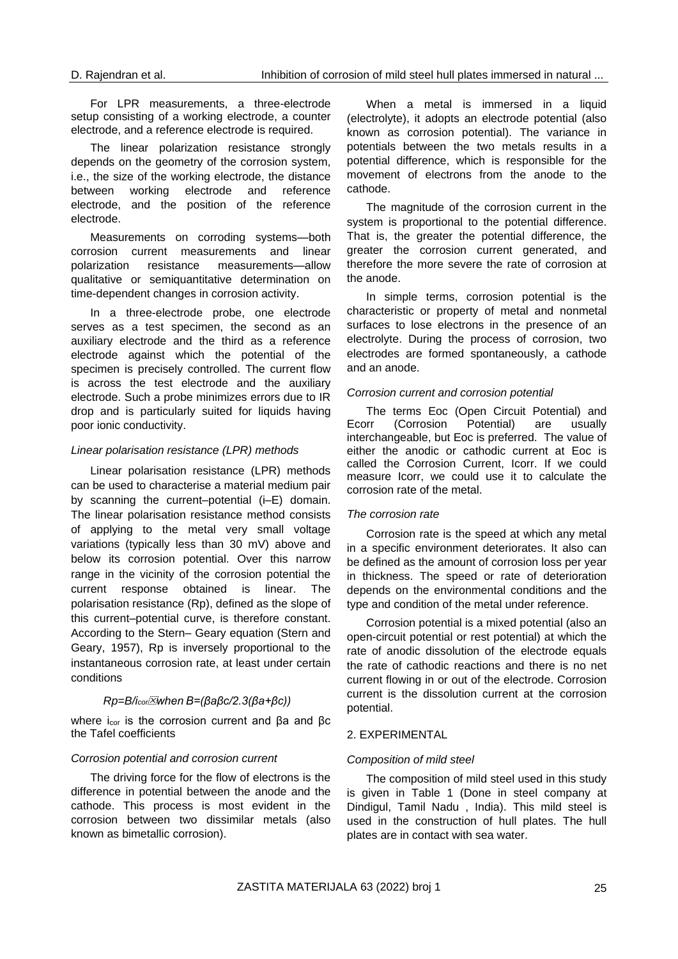For LPR measurements, a three-electrode setup consisting of a working electrode, a counter electrode, and a reference electrode is required.

The linear polarization resistance strongly depends on the geometry of the corrosion system, i.e., the size of the working electrode, the distance between working electrode and reference electrode, and the position of the reference electrode.

Measurements on corroding systems—both corrosion current measurements and linear polarization resistance measurements—allow qualitative or semiquantitative determination on time-dependent changes in corrosion activity.

In a three-electrode probe, one electrode serves as a test specimen, the second as an auxiliary electrode and the third as a reference electrode against which the potential of the specimen is precisely controlled. The current flow is across the test electrode and the auxiliary electrode. Such a probe minimizes errors due to IR drop and is particularly suited for liquids having poor ionic conductivity.

#### *Linear polarisation resistance (LPR) methods*

Linear polarisation resistance (LPR) methods can be used to characterise a material medium pair by scanning the current–potential (i–E) domain. The linear polarisation resistance method consists of applying to the metal very small voltage variations (typically less than 30 mV) above and below its corrosion potential. Over this narrow range in the vicinity of the corrosion potential the current response obtained is linear. The polarisation resistance (Rp), defined as the slope of this current–potential curve, is therefore constant. According to the Stern– Geary equation (Stern and Geary, 1957), Rp is inversely proportional to the instantaneous corrosion rate, at least under certain conditions

### *Rp=B/icorwhen B=(βaβc/2.3(βa+βc))*

where i<sub>cor</sub> is the corrosion current and βa and βc the Tafel coefficients

#### *Corrosion potential and corrosion current*

The driving force for the flow of electrons is the difference in potential between the anode and the cathode. This process is most evident in the corrosion between two dissimilar metals (also known as bimetallic corrosion).

When a metal is immersed in a liquid (electrolyte), it adopts an electrode potential (also known as corrosion potential). The variance in potentials between the two metals results in a potential difference, which is responsible for the movement of electrons from the anode to the cathode.

The magnitude of the corrosion current in the system is proportional to the potential difference. That is, the greater the potential difference, the greater the corrosion current generated, and therefore the more severe the rate of corrosion at the anode.

In simple terms, corrosion potential is the characteristic or property of metal and nonmetal surfaces to lose electrons in the presence of an electrolyte. During the process of corrosion, two electrodes are formed spontaneously, a cathode and an anode.

#### *Corrosion current and corrosion potential*

The terms Eoc (Open Circuit Potential) and Ecorr (Corrosion Potential) are usually interchangeable, but Eoc is preferred. The value of either the anodic or cathodic current at Eoc is called the Corrosion Current, Icorr. If we could measure Icorr, we could use it to calculate the corrosion rate of the metal.

#### *The corrosion rate*

Corrosion rate is the speed at which any metal in a specific environment deteriorates. It also can be defined as the amount of corrosion loss per year in thickness. The speed or rate of deterioration depends on the environmental conditions and the type and condition of the metal under reference.

Corrosion potential is a mixed potential (also an open-circuit potential or rest potential) at which the rate of anodic dissolution of the electrode equals the rate of cathodic reactions and there is no net current flowing in or out of the electrode. Corrosion current is the dissolution current at the corrosion potential.

### 2. EXPERIMENTAL

#### *Composition of mild steel*

The composition of mild steel used in this study is given in Table 1 (Done in steel company at Dindigul, Tamil Nadu , India). This mild steel is used in the construction of hull plates. The hull plates are in contact with sea water.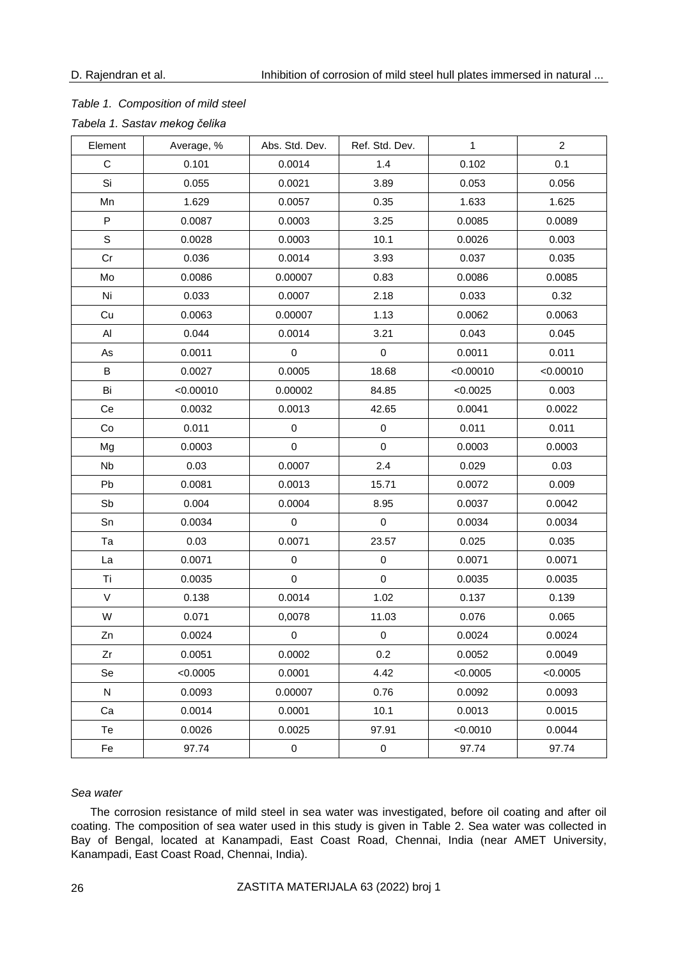### *Table 1. Composition of mild steel*

*Tabela 1. Sastav mekog čelika*

| Element      | Average, % | Abs. Std. Dev. | $\mathbf{1}$<br>Ref. Std. Dev. |           | $\overline{2}$ |
|--------------|------------|----------------|--------------------------------|-----------|----------------|
| $\mathsf C$  | 0.101      | 0.0014         | 1.4                            | 0.102     | 0.1            |
| Si           | 0.055      | 0.0021         | 3.89                           | 0.053     | 0.056          |
| Mn           | 1.629      | 0.0057         | 0.35                           | 1.633     | 1.625          |
| $\mathsf{P}$ | 0.0087     | 0.0003         | 3.25                           | 0.0085    | 0.0089         |
| $\mathsf S$  | 0.0028     | 0.0003         | 10.1                           | 0.0026    | 0.003          |
| Cr           | 0.036      | 0.0014         | 3.93                           | 0.037     | 0.035          |
| Mo           | 0.0086     | 0.00007        | 0.83                           | 0.0086    | 0.0085         |
| Ni           | 0.033      | 0.0007         | 2.18                           | 0.033     | 0.32           |
| Cu           | 0.0063     | 0.00007        | 1.13                           | 0.0062    | 0.0063         |
| Al           | 0.044      | 0.0014         | 3.21                           | 0.043     | 0.045          |
| As           | 0.0011     | $\pmb{0}$      | $\mathbf 0$                    | 0.0011    | 0.011          |
| B            | 0.0027     | 0.0005         | 18.68                          | < 0.00010 | < 0.00010      |
| Bi           | < 0.00010  | 0.00002        | 84.85                          | < 0.0025  | 0.003          |
| Ce           | 0.0032     | 0.0013         | 42.65                          | 0.0041    | 0.0022         |
| Co           | 0.011      | $\pmb{0}$      | $\pmb{0}$                      | 0.011     | 0.011          |
| Mg           | 0.0003     | $\pmb{0}$      | $\pmb{0}$                      | 0.0003    | 0.0003         |
| Nb           | 0.03       | 0.0007         | 2.4                            | 0.029     | 0.03           |
| Pb           | 0.0081     | 0.0013         | 15.71                          | 0.0072    | 0.009          |
| Sb           | 0.004      | 0.0004         | 8.95                           | 0.0037    | 0.0042         |
| Sn           | 0.0034     | $\mathsf 0$    | $\pmb{0}$                      | 0.0034    | 0.0034         |
| Ta           | 0.03       | 0.0071         | 23.57                          | 0.025     | 0.035          |
| La           | 0.0071     | $\pmb{0}$      | $\pmb{0}$                      | 0.0071    | 0.0071         |
| Ti           | 0.0035     | $\pmb{0}$      | $\pmb{0}$                      | 0.0035    | 0.0035         |
| $\vee$       | 0.138      | 0.0014         | 1.02                           | 0.137     | 0.139          |
| W            | 0.071      | 0,0078         | 11.03                          | 0.076     | 0.065          |
| Zn           | 0.0024     | $\mathbf 0$    | $\pmb{0}$                      | 0.0024    | 0.0024         |
| Zr           | 0.0051     | 0.0002         | 0.2                            | 0.0052    | 0.0049         |
| Se           | < 0.0005   | 0.0001         | 4.42                           | < 0.0005  | < 0.0005       |
| ${\sf N}$    | 0.0093     | 0.00007        | 0.76                           | 0.0092    | 0.0093         |
| Ca           | 0.0014     | 0.0001         | 10.1                           | 0.0013    | 0.0015         |
| Te           | 0.0026     | 0.0025         | 97.91                          | < 0.0010  | 0.0044         |
| Fe           | 97.74      | $\pmb{0}$      | $\pmb{0}$                      | 97.74     | 97.74          |

### *Sea water*

The corrosion resistance of mild steel in sea water was investigated, before oil coating and after oil coating. The composition of sea water used in this study is given in Table 2. Sea water was collected in Bay of Bengal, located at Kanampadi, East Coast Road, Chennai, India (near AMET University, Kanampadi, East Coast Road, Chennai, India).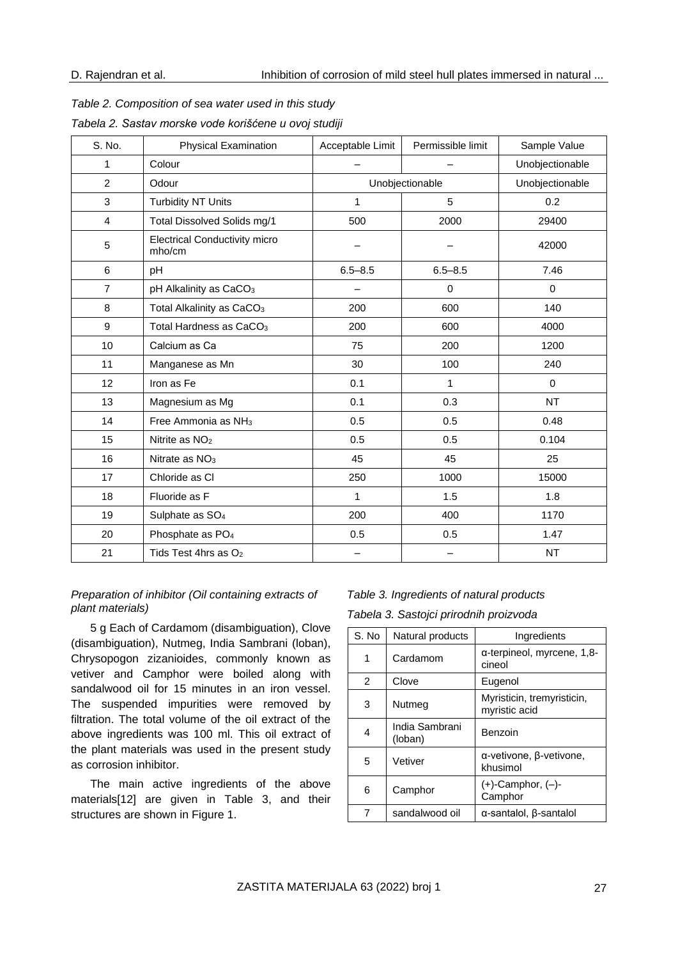| S. No.           | <b>Physical Examination</b>                    | Acceptable Limit | Permissible limit | Sample Value    |  |
|------------------|------------------------------------------------|------------------|-------------------|-----------------|--|
| 1                | Colour                                         |                  |                   | Unobjectionable |  |
| $\overline{2}$   | Odour                                          |                  | Unobjectionable   |                 |  |
| 3                | <b>Turbidity NT Units</b>                      | 1                | 5                 |                 |  |
| $\overline{4}$   | Total Dissolved Solids mg/1                    | 500              | 2000              | 29400           |  |
| 5                | <b>Electrical Conductivity micro</b><br>mho/cm |                  |                   | 42000           |  |
| 6                | рH                                             | $6.5 - 8.5$      | $6.5 - 8.5$       | 7.46            |  |
| $\overline{7}$   | pH Alkalinity as CaCO <sub>3</sub>             |                  | 0                 | $\mathbf 0$     |  |
| 8                | Total Alkalinity as CaCO <sub>3</sub>          | 200              | 600               | 140             |  |
| $\boldsymbol{9}$ | Total Hardness as CaCO <sub>3</sub>            | 200              | 600               | 4000            |  |
| 10               | Calcium as Ca                                  | 75               | 200               | 1200            |  |
| 11               | Manganese as Mn                                | 30               | 100               | 240             |  |
| 12               | Iron as Fe                                     | 0.1              | $\mathbf{1}$      | $\mathbf 0$     |  |
| 13               | Magnesium as Mg                                | 0.1              | 0.3               | <b>NT</b>       |  |
| 14               | Free Ammonia as NH <sub>3</sub>                | 0.5              | 0.5               | 0.48            |  |
| 15               | Nitrite as NO <sub>2</sub>                     | 0.5              | 0.5               | 0.104           |  |
| 16               | Nitrate as NO <sub>3</sub>                     | 45               | 45                | 25              |  |
| 17               | Chloride as CI                                 | 250              | 1000              | 15000           |  |
| 18               | Fluoride as F                                  | 1                | 1.5               | 1.8             |  |
| 19               | Sulphate as SO <sub>4</sub>                    | 200              | 400               | 1170            |  |
| 20               | Phosphate as PO <sub>4</sub>                   | 0.5              | 0.5               | 1.47            |  |
| 21               | Tids Test 4hrs as O <sub>2</sub>               |                  |                   | <b>NT</b>       |  |

*Table 2. Composition of sea water used in this study Tabela 2. Sastav morske vode korišćene u ovoj studiji*

### *Preparation of inhibitor (Oil containing extracts of plant materials)*

5 g Each of Cardamom (disambiguation), Clove (disambiguation), Nutmeg, India Sambrani (loban), Chrysopogon zizanioides, commonly known as vetiver and Camphor were boiled along with sandalwood oil for 15 minutes in an iron vessel. The suspended impurities were removed by filtration. The total volume of the oil extract of the above ingredients was 100 ml. This oil extract of the plant materials was used in the present study as corrosion inhibitor.

The main active ingredients of the above materials[12] are given in Table 3, and their structures are shown in Figure 1.

### *Table 3. Ingredients of natural products*

*Tabela 3. Sastojci prirodnih proizvoda*

| S. No | Natural products          | Ingredients                                  |
|-------|---------------------------|----------------------------------------------|
| 1     | Cardamom                  | $\alpha$ -terpineol, myrcene, 1,8-<br>cineol |
| 2     | Clove                     | Eugenol                                      |
| 3     | Nutmeg                    | Myristicin, tremyristicin,<br>myristic acid  |
| 4     | India Sambrani<br>(loban) | Benzoin                                      |
| 5     | Vetiver                   | α-vetivone, β-vetivone,<br>khusimol          |
| 6     | Camphor                   | $(+)$ -Camphor, $(-)$ -<br>Camphor           |
| 7     | sandalwood oil            | $\alpha$ -santalol, $\beta$ -santalol        |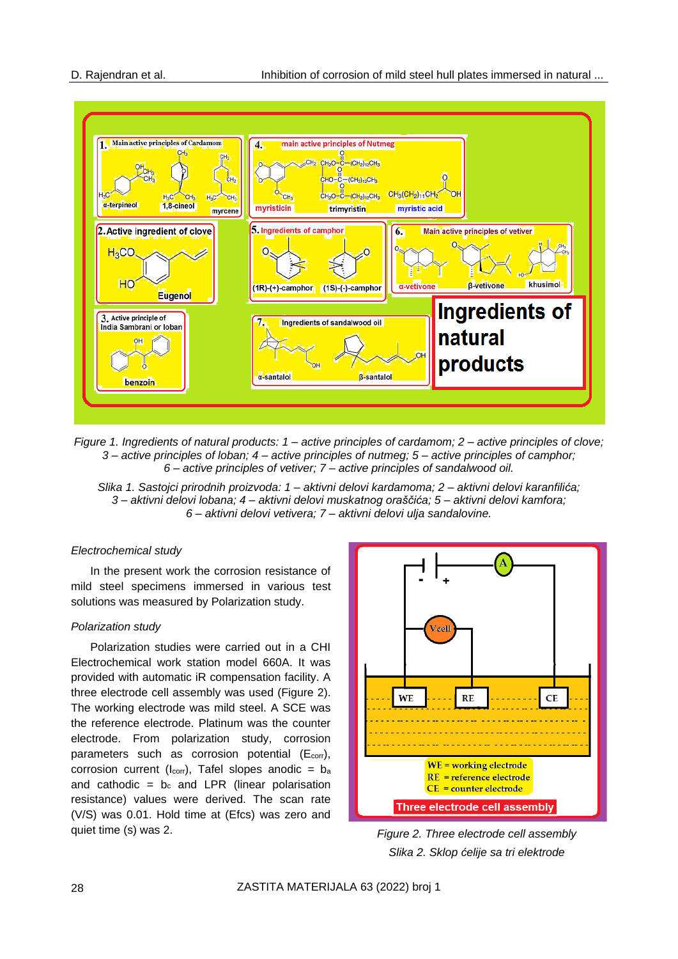

*Figure 1. Ingredients of natural products: 1 – active principles of cardamom; 2 – active principles of clove; 3 – active principles of loban; 4 – active principles of nutmeg; 5 – active principles of camphor; 6 – active principles of vetiver; 7 – active principles of sandalwood oil.*

*Slika 1. Sastojci prirodnih proizvoda: 1 – aktivni delovi kardamoma; 2 – aktivni delovi karanfilića; 3 – aktivni delovi lobana; 4 – aktivni delovi muskatnog oraščića; 5 – aktivni delovi kamfora; 6 – aktivni delovi vetivera; 7 – aktivni delovi ulja sandalovine.*

### *Electrochemical study*

In the present work the corrosion resistance of mild steel specimens immersed in various test solutions was measured by Polarization study.

### *Polarization study*

Polarization studies were carried out in a CHI Electrochemical work station model 660A. It was provided with automatic iR compensation facility. A three electrode cell assembly was used (Figure 2). The working electrode was mild steel. A SCE was the reference electrode. Platinum was the counter electrode. From polarization study, corrosion parameters such as corrosion potential  $(E_{corr})$ , corrosion current ( $I_{corr}$ ), Tafel slopes anodic =  $b_a$ and cathodic =  $b_c$  and LPR (linear polarisation resistance) values were derived. The scan rate (V/S) was 0.01. Hold time at (Efcs) was zero and quiet time (s) was 2. *Figure 2. Three electrode cell assembly*



*Slika 2. Sklop ćelije sa tri elektrode*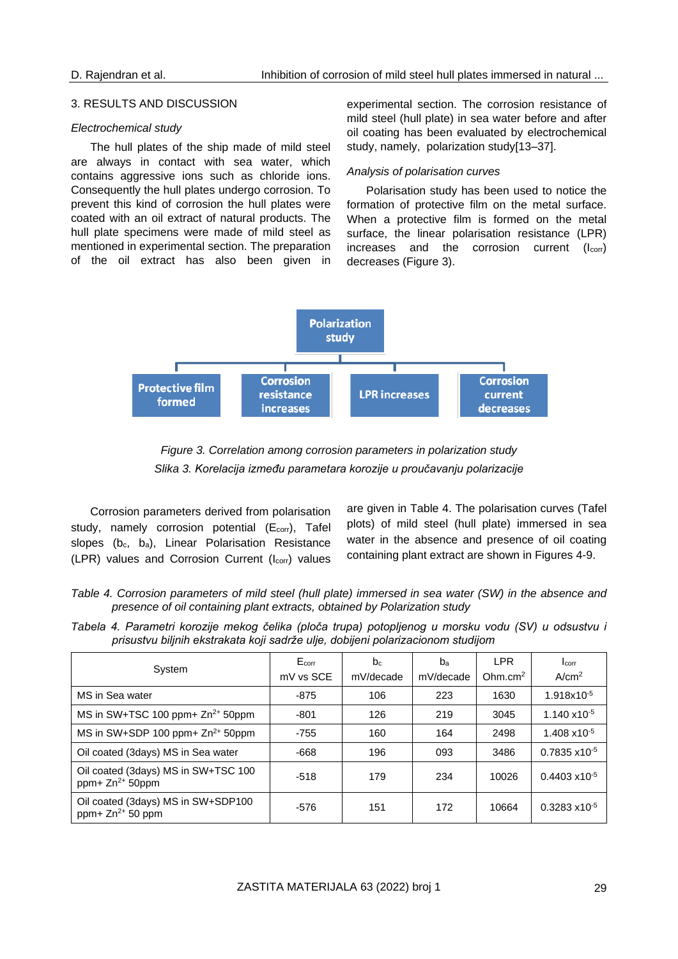#### 3. RESULTS AND DISCUSSION

#### *Electrochemical study*

The hull plates of the ship made of mild steel are always in contact with sea water, which contains aggressive ions such as chloride ions. Consequently the hull plates undergo corrosion. To prevent this kind of corrosion the hull plates were coated with an oil extract of natural products. The hull plate specimens were made of mild steel as mentioned in experimental section. The preparation of the oil extract has also been given in

experimental section. The corrosion resistance of mild steel (hull plate) in sea water before and after oil coating has been evaluated by electrochemical study, namely, polarization study[13–37].

#### *Analysis of polarisation curves*

Polarisation study has been used to notice the formation of protective film on the metal surface. When a protective film is formed on the metal surface, the linear polarisation resistance (LPR) increases and the corrosion current  $(I_{\text{corr}})$ decreases (Figure 3).





Corrosion parameters derived from polarisation study, namely corrosion potential (E<sub>corr</sub>), Tafel slopes  $(b_c, b_a)$ , Linear Polarisation Resistance  $(LPR)$  values and Corrosion Current  $(l_{corr})$  values

are given in Table 4. The polarisation curves (Tafel plots) of mild steel (hull plate) immersed in sea water in the absence and presence of oil coating containing plant extract are shown in Figures 4-9.

*Table 4. Corrosion parameters of mild steel (hull plate) immersed in sea water (SW) in the absence and presence of oil containing plant extracts, obtained by Polarization study*

|  |  |  |  | Tabela 4. Parametri korozije mekog čelika (ploča trupa) potopljenog u morsku vodu (SV) u odsustvu i |  |  |  |  |
|--|--|--|--|-----------------------------------------------------------------------------------------------------|--|--|--|--|
|  |  |  |  | prisustvu biljnih ekstrakata koji sadrže ulje, dobijeni polarizacionom studijom                     |  |  |  |  |

| System                                                      | E <sub>corr</sub> | b <sub>c</sub> | b <sub>a</sub> | <b>LPR</b>          | Icorr<br>A/cm <sup>2</sup> |
|-------------------------------------------------------------|-------------------|----------------|----------------|---------------------|----------------------------|
|                                                             | mV vs SCE         | mV/decade      | mV/decade      | Ohm.cm <sup>2</sup> |                            |
| MS in Sea water                                             | $-875$            | 106            | 223            | 1630                | 1.918x10 <sup>-5</sup>     |
| MS in SW+TSC 100 ppm+ Zn <sup>2+</sup> 50ppm                | -801              | 126            | 219            | 3045                | $1.140 \times 10^{-5}$     |
| MS in SW+SDP 100 ppm+ $Zn^{2+}$ 50ppm                       | $-755$            | 160            | 164            | 2498                | $1.408 \times 10^{-5}$     |
| Oil coated (3days) MS in Sea water                          | -668              | 196            | 093            | 3486                | $0.7835 \times 10^{-5}$    |
| Oil coated (3days) MS in SW+TSC 100<br>ppm+ $Zn^{2+}$ 50ppm | $-518$            | 179            | 234            | 10026               | $0.4403 \times 10^{-5}$    |
| Oil coated (3days) MS in SW+SDP100<br>ppm+ $Zn^{2+}$ 50 ppm | -576              | 151            | 172            | 10664               | $0.3283 \times 10^{-5}$    |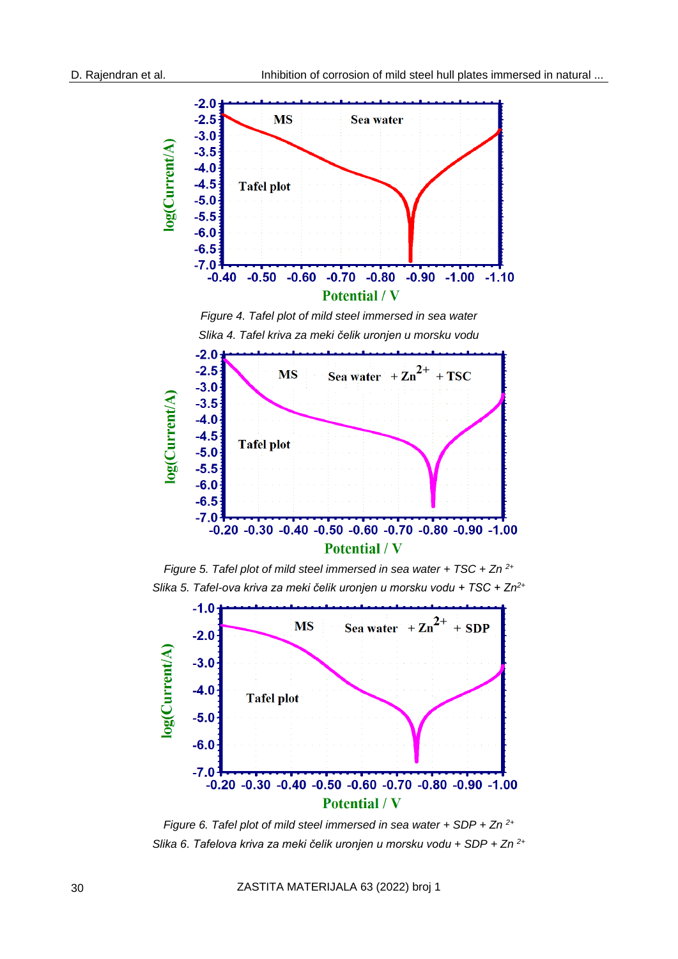

*Figure 5. Tafel plot of mild steel immersed in sea water + TSC + Zn 2+ Slika 5. Tafel-ova kriva za meki čelik uronjen u morsku vodu + TSC + Zn2+*



*Figure 6. Tafel plot of mild steel immersed in sea water + SDP + Zn 2+ Slika 6. Tafelova kriva za meki čelik uronjen u morsku vodu + SDP + Zn 2+*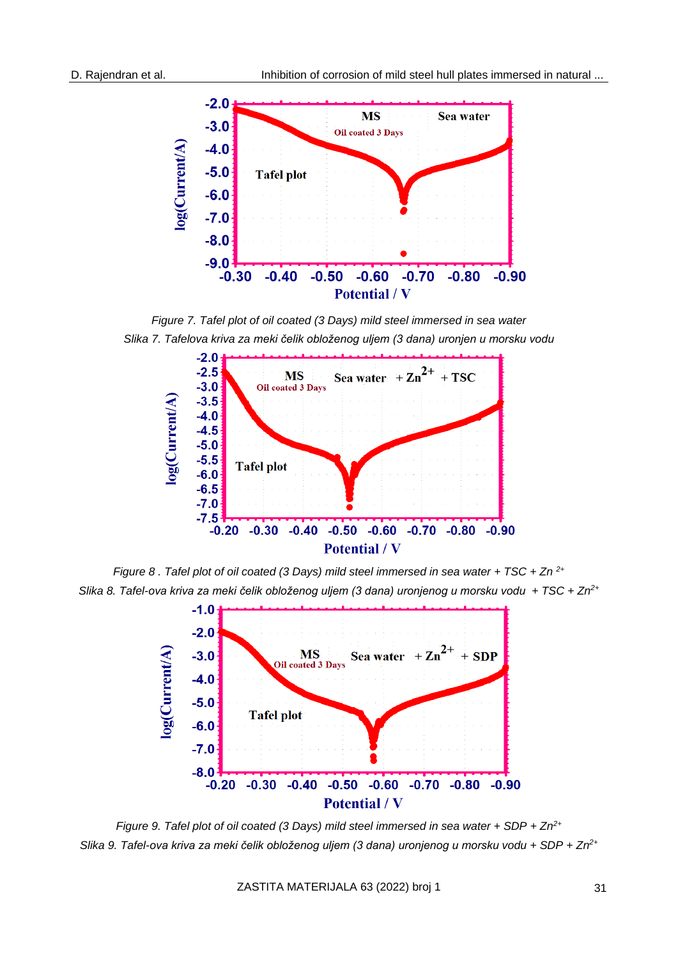

*Figure 7. Tafel plot of oil coated (3 Days) mild steel immersed in sea water Slika 7. Tafelova kriva za meki čelik obloženog uljem (3 dana) uronjen u morsku vodu*



*Figure 8 . Tafel plot of oil coated (3 Days) mild steel immersed in sea water + TSC + Zn 2+ Slika 8. Tafel-ova kriva za meki čelik obloženog uljem (3 dana) uronjenog u morsku vodu + TSC + Zn2+*



*Figure 9. Tafel plot of oil coated (3 Days) mild steel immersed in sea water + SDP + Zn2+ Slika 9. Tafel-ova kriva za meki čelik obloženog uljem (3 dana) uronjenog u morsku vodu + SDP + Zn2+*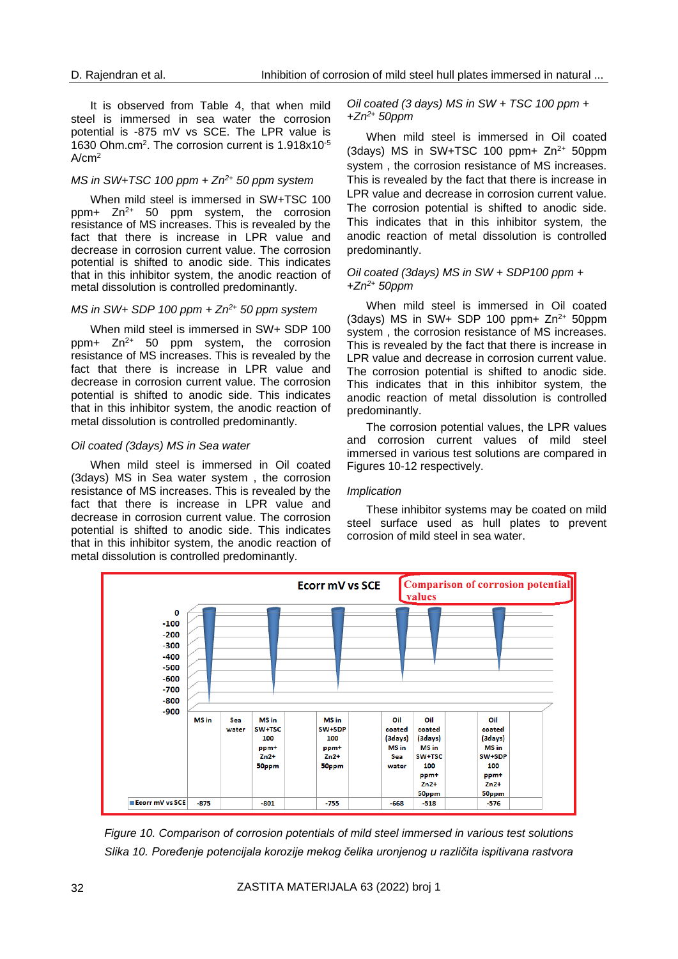It is observed from Table 4, that when mild steel is immersed in sea water the corrosion potential is -875 mV vs SCE. The LPR value is 1630 Ohm.cm<sup>2</sup>. The corrosion current is 1.918x10<sup>-5</sup>  $\Delta$ / $\sim$ m<sup>2</sup>

### *MS in SW+TSC 100 ppm + Zn2+ 50 ppm system*

When mild steel is immersed in SW+TSC 100  $ppm+ Zn^{2+}$  50 ppm system, the corrosion resistance of MS increases. This is revealed by the fact that there is increase in LPR value and decrease in corrosion current value. The corrosion potential is shifted to anodic side. This indicates that in this inhibitor system, the anodic reaction of metal dissolution is controlled predominantly.

#### *MS in SW+ SDP 100 ppm + Zn2+ 50 ppm system*

When mild steel is immersed in SW+ SDP 100 ppm+  $Zn^{2+}$  50 ppm system, the corrosion resistance of MS increases. This is revealed by the fact that there is increase in LPR value and decrease in corrosion current value. The corrosion potential is shifted to anodic side. This indicates that in this inhibitor system, the anodic reaction of metal dissolution is controlled predominantly.

#### *Oil coated (3days) MS in Sea water*

When mild steel is immersed in Oil coated (3days) MS in Sea water system , the corrosion resistance of MS increases. This is revealed by the fact that there is increase in LPR value and decrease in corrosion current value. The corrosion potential is shifted to anodic side. This indicates that in this inhibitor system, the anodic reaction of metal dissolution is controlled predominantly.

#### *Oil coated (3 days) MS in SW + TSC 100 ppm + +Zn2+ 50ppm*

When mild steel is immersed in Oil coated (3days) MS in SW+TSC 100 ppm+  $Zn^{2+}$  50ppm system , the corrosion resistance of MS increases. This is revealed by the fact that there is increase in LPR value and decrease in corrosion current value. The corrosion potential is shifted to anodic side. This indicates that in this inhibitor system, the anodic reaction of metal dissolution is controlled predominantly.

#### *Oil coated (3days) MS in SW + SDP100 ppm + +Zn2+ 50ppm*

When mild steel is immersed in Oil coated (3days) MS in SW+ SDP 100 ppm+  $Zn^{2+}$  50ppm system , the corrosion resistance of MS increases. This is revealed by the fact that there is increase in LPR value and decrease in corrosion current value. The corrosion potential is shifted to anodic side. This indicates that in this inhibitor system, the anodic reaction of metal dissolution is controlled predominantly.

The corrosion potential values, the LPR values and corrosion current values of mild steel immersed in various test solutions are compared in Figures 10-12 respectively.

#### *Implication*

These inhibitor systems may be coated on mild steel surface used as hull plates to prevent corrosion of mild steel in sea water.



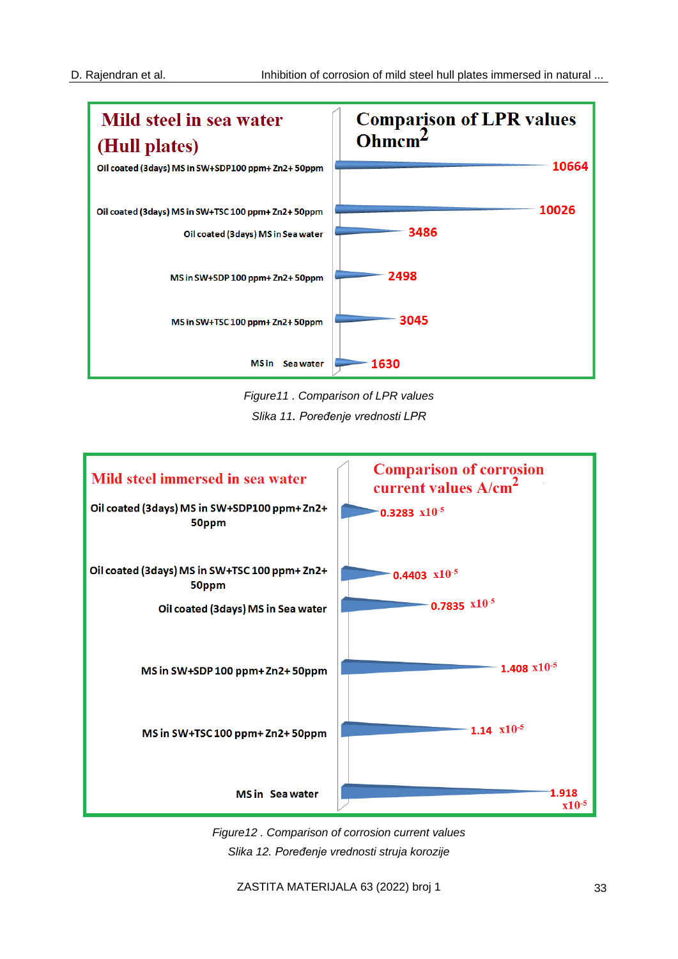

*Figure11 . Comparison of LPR values Slika 11. Poređenje vrednosti LPR*



*Figure12 . Comparison of corrosion current values Slika 12. Poređenje vrednosti struja korozije*

ZASTITA MATERIJALA 63 (2022) broj 1 33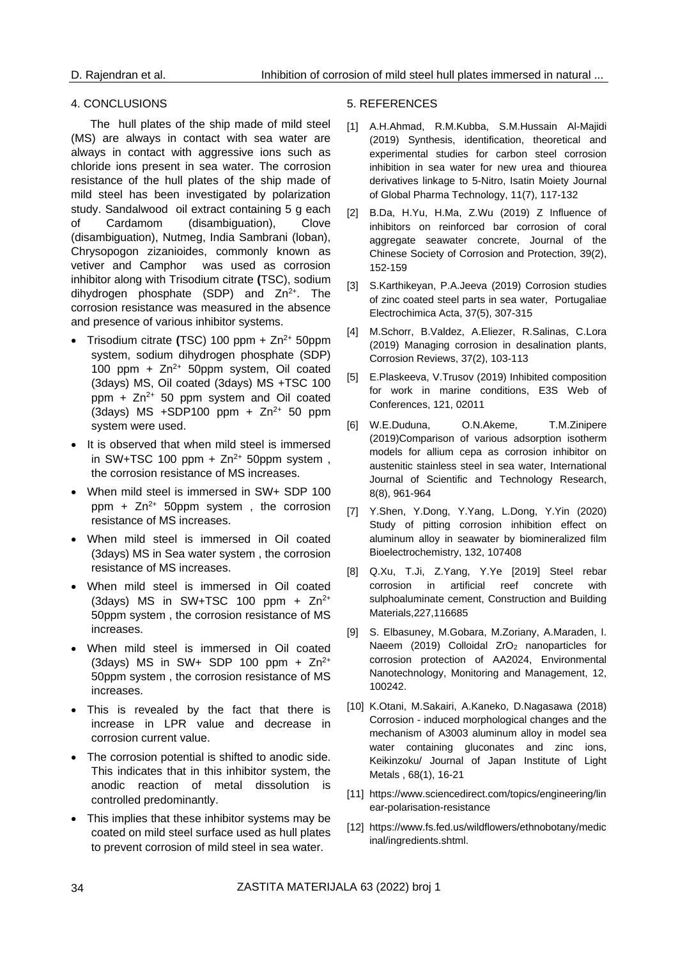### 4. CONCLUSIONS

The hull plates of the ship made of mild steel (MS) are always in contact with sea water are always in contact with aggressive ions such as chloride ions present in sea water. The corrosion resistance of the hull plates of the ship made of mild steel has been investigated by polarization study. Sandalwood oil extract containing 5 g each of Cardamom (disambiguation), Clove (disambiguation), Nutmeg, India Sambrani (loban), Chrysopogon zizanioides, commonly known as vetiver and Camphor was used as corrosion inhibitor along with Trisodium citrate **(**TSC), sodium dihydrogen phosphate (SDP) and  $Zn^{2+}$ . The corrosion resistance was measured in the absence and presence of various inhibitor systems.

- Trisodium citrate **(**TSC) 100 ppm + Zn2+ 50ppm system, sodium dihydrogen phosphate (SDP) 100 ppm +  $Zn^{2+}$  50ppm system, Oil coated (3days) MS, Oil coated (3days) MS +TSC 100 ppm +  $Zn^{2+}$  50 ppm system and Oil coated (3days) MS +SDP100 ppm +  $Zn^{2+}$  50 ppm system were used.
- It is observed that when mild steel is immersed in SW+TSC 100 ppm +  $Zn^{2+}$  50ppm system, the corrosion resistance of MS increases.
- When mild steel is immersed in SW+ SDP 100 ppm +  $Zn^{2+}$  50ppm system, the corrosion resistance of MS increases.
- When mild steel is immersed in Oil coated (3days) MS in Sea water system , the corrosion resistance of MS increases.
- When mild steel is immersed in Oil coated (3days) MS in SW+TSC 100 ppm +  $Zn^{2+}$ 50ppm system , the corrosion resistance of MS increases.
- When mild steel is immersed in Oil coated (3days) MS in SW+ SDP 100 ppm +  $Zn^{2+}$ 50ppm system , the corrosion resistance of MS increases.
- This is revealed by the fact that there is increase in LPR value and decrease in corrosion current value.
- The corrosion potential is shifted to anodic side. This indicates that in this inhibitor system, the anodic reaction of metal dissolution is controlled predominantly.
- This implies that these inhibitor systems may be coated on mild steel surface used as hull plates to prevent corrosion of mild steel in sea water.

### 5. REFERENCES

- [1] A.H.Ahmad, R.M.Kubba, S.M.Hussain Al-Majidi (2019) Synthesis, identification, theoretical and experimental studies for carbon steel corrosion inhibition in sea water for new urea and thiourea derivatives linkage to 5-Nitro, Isatin Moiety Journal of Global Pharma Technology, 11(7), 117-132
- [2] B.Da, H.Yu, H.Ma, Z.Wu (2019) Z Influence of inhibitors on reinforced bar corrosion of coral aggregate seawater concrete, Journal of the Chinese Society of Corrosion and Protection, 39(2), 152-159
- [3] S.Karthikeyan, P.A.Jeeva (2019) Corrosion studies of zinc coated steel parts in sea water, Portugaliae Electrochimica Acta, 37(5), 307-315
- [4] M.Schorr, B.Valdez, A.Eliezer, R.Salinas, C.Lora (2019) Managing corrosion in desalination plants, Corrosion Reviews, 37(2), 103-113
- [5] E.Plaskeeva, V.Trusov (2019) Inhibited composition for work in marine conditions, E3S Web of Conferences, 121, 02011
- [6] W.E.Duduna, O.N.Akeme, T.M.Zinipere (2019)Comparison of various adsorption isotherm models for allium cepa as corrosion inhibitor on austenitic stainless steel in sea water, International Journal of Scientific and Technology Research, 8(8), 961-964
- [7] Y.Shen, Y.Dong, Y.Yang, L.Dong, Y.Yin (2020) Study of pitting corrosion inhibition effect on aluminum alloy in seawater by biomineralized film Bioelectrochemistry, 132, 107408
- [8] Q.Xu, T.Ji, Z.Yang, Y.Ye [2019] Steel rebar corrosion in artificial reef concrete with sulphoaluminate cement, Construction and Building Materials,227,116685
- [9] S. Elbasuney, M.Gobara, M.Zoriany, A.Maraden, I. Naeem (2019) Colloidal ZrO<sub>2</sub> nanoparticles for corrosion protection of AA2024, Environmental Nanotechnology, Monitoring and Management, 12, 100242.
- [10] K.Otani, M.Sakairi, A.Kaneko, D.Nagasawa (2018) Corrosion - induced morphological changes and the mechanism of A3003 aluminum alloy in model sea water containing gluconates and zinc ions, Keikinzoku/ Journal of Japan Institute of Light Metals , 68(1), 16-21
- [11] [https://www.sciencedirect.com/topics/engineering/lin](https://www.sciencedirect.com/topics/engineering/linear-polarisation-resistance) [ear-polarisation-resistance](https://www.sciencedirect.com/topics/engineering/linear-polarisation-resistance)
- [12] https://www.fs.fed.us/wildflowers/ethnobotany/medic inal/ingredients.shtml.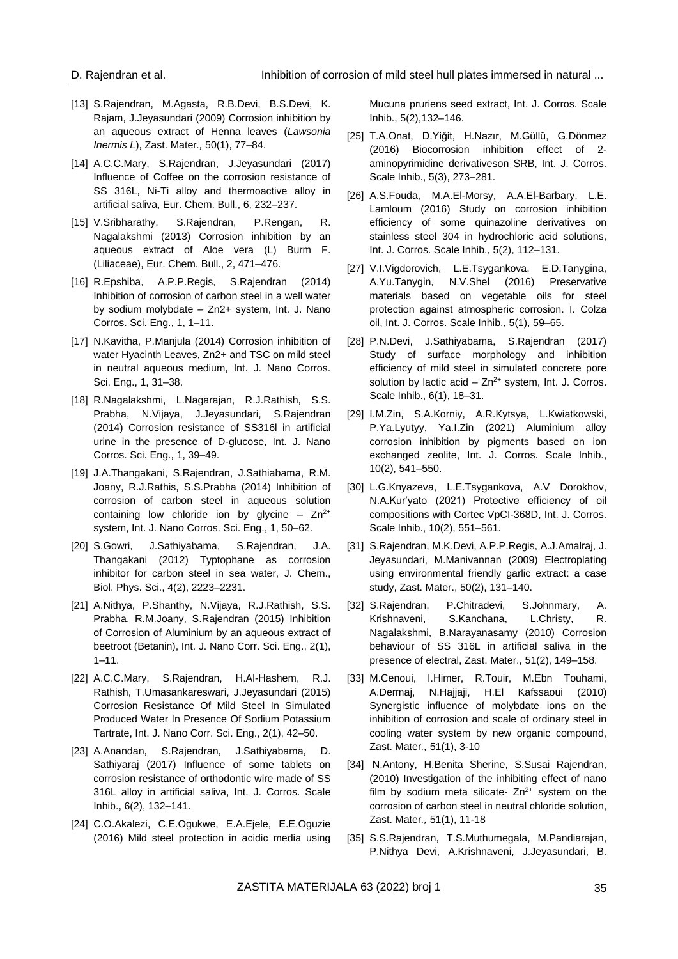- [13] S.Rajendran, M.Agasta, R.B.Devi, B.S.Devi, K. Rajam, J.Jeyasundari (2009) Corrosion inhibition by an aqueous extract of Henna leaves (*Lawsonia Inermis L*), Zast. Mater*.,* 50(1), 77–84.
- [14] A.C.C.Mary, S.Rajendran, J.Jeyasundari (2017) Influence of Coffee on the corrosion resistance of SS 316L, Ni-Ti alloy and thermoactive alloy in artificial saliva, Eur. Chem. Bull., 6, 232–237.
- [15] V.Sribharathy, S.Rajendran, P.Rengan, R. Nagalakshmi (2013) Corrosion inhibition by an aqueous extract of Aloe vera (L) Burm F. (Liliaceae), Eur. Chem. Bull., 2, 471–476.
- [16] R.Epshiba, A.P.P.Regis, S.Rajendran (2014) Inhibition of corrosion of carbon steel in a well water by sodium molybdate – Zn2+ system, Int. J. Nano Corros. Sci. Eng., 1, 1–11.
- [17] N.Kavitha, P.Manjula (2014) Corrosion inhibition of water Hyacinth Leaves, Zn2+ and TSC on mild steel in neutral aqueous medium, Int. J. Nano Corros. Sci. Eng., 1, 31–38.
- [18] R.Nagalakshmi, L.Nagarajan, R.J.Rathish, S.S. Prabha, N.Vijaya, J.Jeyasundari, S.Rajendran (2014) Corrosion resistance of SS316l in artificial urine in the presence of D-glucose, Int. J. Nano Corros. Sci. Eng., 1, 39–49.
- [19] J.A.Thangakani, S.Rajendran, J.Sathiabama, R.M. Joany, R.J.Rathis, S.S.Prabha (2014) Inhibition of corrosion of carbon steel in aqueous solution containing low chloride ion by glycine –  $Zn^{2+}$ system, Int. J. Nano Corros. Sci. Eng., 1, 50–62.
- [20] S.Gowri, J.Sathiyabama, S.Rajendran, J.A. Thangakani (2012) Typtophane as corrosion inhibitor for carbon steel in sea water, J. Chem., Biol. Phys. Sci., 4(2), 2223–2231.
- [21] A.Nithya, P.Shanthy, N.Vijaya, R.J.Rathish, S.S. Prabha, R.M.Joany, S.Rajendran (2015) Inhibition of Corrosion of Aluminium by an aqueous extract of beetroot (Betanin), Int. J. Nano Corr. Sci. Eng., 2(1), 1–11.
- [22] A.C.C.Mary, S.Rajendran, H.Al-Hashem, R.J. Rathish, T.Umasankareswari, J.Jeyasundari (2015) Corrosion Resistance Of Mild Steel In Simulated Produced Water In Presence Of Sodium Potassium Tartrate, Int. J. Nano Corr. Sci. Eng., 2(1), 42–50.
- [23] A.Anandan, S.Rajendran, J.Sathiyabama, D. Sathiyaraj (2017) Influence of some tablets on corrosion resistance of orthodontic wire made of SS 316L alloy in artificial saliva, Int. J. Corros. Scale Inhib., 6(2), 132–141.
- [24] C.O.Akalezi, C.E.Ogukwe, E.A.Ejele, E.E.Oguzie (2016) Mild steel protection in acidic media using

Mucuna pruriens seed extract, Int. J. Corros. Scale Inhib., 5(2),132–146.

- [25] T.A.Onat, D.Yiğit, H.Nazır, M.Güllü, G.Dönmez (2016) Biocorrosion inhibition effect of 2 aminopyrimidine derivativeson SRB, Int. J. Corros. Scale Inhib., 5(3), 273–281.
- [26] A.S.Fouda, M.A.El-Morsy, A.A.El-Barbary, L.E. Lamloum (2016) Study on corrosion inhibition efficiency of some quinazoline derivatives on stainless steel 304 in hydrochloric acid solutions, Int. J. Corros. Scale Inhib., 5(2), 112–131.
- [27] V.I.Vigdorovich, L.E.Tsygankova, E.D.Tanygina, A.Yu.Tanygin, N.V.Shel (2016) Preservative materials based on vegetable oils for steel protection against atmospheric corrosion. I. Colza oil, Int. J. Corros. Scale Inhib., 5(1), 59–65.
- [28] P.N.Devi, J.Sathiyabama, S.Rajendran (2017) Study of surface morphology and inhibition efficiency of mild steel in simulated concrete pore solution by lactic acid  $- Zn^{2+}$  system, Int. J. Corros. Scale Inhib., 6(1), 18–31.
- [29] I.M.Zin, S.A.Korniy, A.R.Kytsya, L.Kwiatkowski, P.Ya.Lyutyy, Ya.I.Zin (2021) Aluminium alloy corrosion inhibition by pigments based on ion exchanged zeolite, Int. J. Corros. Scale Inhib., 10(2), 541–550.
- [30] L.G.Knyazeva, L.E.Tsygankova, A.V Dorokhov, N.A.Kur'yato (2021) Protective efficiency of oil compositions with Cortec VpCI-368D, Int. J. Corros. Scale Inhib., 10(2), 551–561.
- [31] S.Rajendran, M.K.Devi, A.P.P.Regis, A.J.Amalraj, J. Jeyasundari, M.Manivannan (2009) Electroplating using environmental friendly garlic extract: a case study, Zast. Mater., 50(2), 131–140.
- [32] S.Rajendran, P.Chitradevi, S.Johnmary, A. Krishnaveni, S.Kanchana, L.Christy, R. Nagalakshmi, B.Narayanasamy (2010) Corrosion behaviour of SS 316L in artificial saliva in the presence of electral, Zast. Mater., 51(2), 149–158.
- [33] M.Cenoui, I.Himer, R.Touir, M.Ebn Touhami, A.Dermaj, N.Hajjaji, H.El Kafssaoui (2010) Synergistic influence of molybdate ions on the inhibition of corrosion and scale of ordinary steel in cooling water system by new organic compound, Zast. Mater*.,* 51(1), 3-10
- [34] N.Antony, H.Benita Sherine, S.Susai Rajendran, (2010) Investigation of the inhibiting effect of nano film by sodium meta silicate-  $Zn^{2+}$  system on the corrosion of carbon steel in neutral chloride solution, Zast. Mater*.,* 51(1), 11-18
- [35] S.S.Rajendran, T.S.Muthumegala, M.Pandiarajan, P.Nithya Devi, A.Krishnaveni, J.Jeyasundari, B.